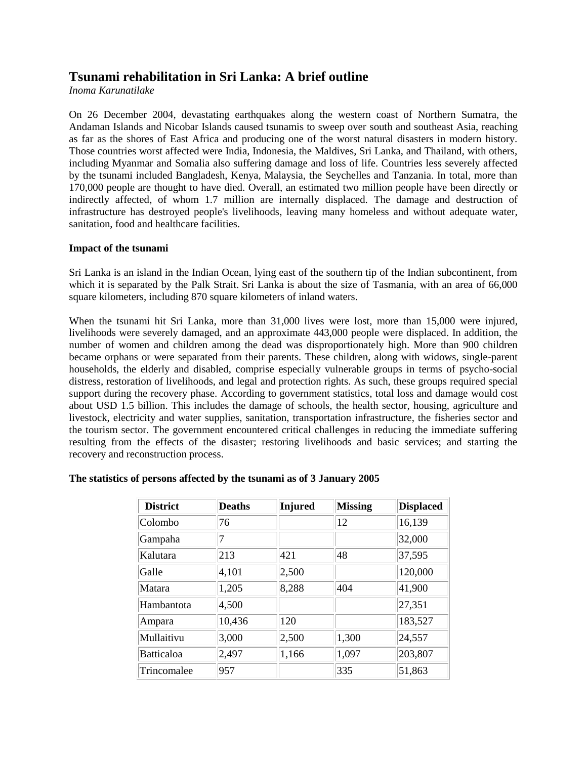# **Tsunami rehabilitation in Sri Lanka: A brief outline**

*Inoma Karunatilake*

On 26 December 2004, devastating earthquakes along the western coast of Northern Sumatra, the Andaman Islands and Nicobar Islands caused tsunamis to sweep over south and southeast Asia, reaching as far as the shores of East Africa and producing one of the worst natural disasters in modern history. Those countries worst affected were India, Indonesia, the Maldives, Sri Lanka, and Thailand, with others, including Myanmar and Somalia also suffering damage and loss of life. Countries less severely affected by the tsunami included Bangladesh, Kenya, Malaysia, the Seychelles and Tanzania. In total, more than 170,000 people are thought to have died. Overall, an estimated two million people have been directly or indirectly affected, of whom 1.7 million are internally displaced. The damage and destruction of infrastructure has destroyed people's livelihoods, leaving many homeless and without adequate water, sanitation, food and healthcare facilities.

# **Impact of the tsunami**

Sri Lanka is an island in the Indian Ocean, lying east of the southern tip of the Indian subcontinent, from which it is separated by the Palk Strait. Sri Lanka is about the size of Tasmania, with an area of 66,000 square kilometers, including 870 square kilometers of inland waters.

When the tsunami hit Sri Lanka, more than 31,000 lives were lost, more than 15,000 were injured, livelihoods were severely damaged, and an approximate 443,000 people were displaced. In addition, the number of women and children among the dead was disproportionately high. More than 900 children became orphans or were separated from their parents. These children, along with widows, single-parent households, the elderly and disabled, comprise especially vulnerable groups in terms of psycho-social distress, restoration of livelihoods, and legal and protection rights. As such, these groups required special support during the recovery phase. According to government statistics, total loss and damage would cost about USD 1.5 billion. This includes the damage of schools, the health sector, housing, agriculture and livestock, electricity and water supplies, sanitation, transportation infrastructure, the fisheries sector and the tourism sector. The government encountered critical challenges in reducing the immediate suffering resulting from the effects of the disaster; restoring livelihoods and basic services; and starting the recovery and reconstruction process.

| <b>District</b>   | <b>Deaths</b> | <b>Injured</b> | <b>Missing</b> | <b>Displaced</b> |
|-------------------|---------------|----------------|----------------|------------------|
| Colombo           | 76            |                | 12             | 16,139           |
| Gampaha           |               |                |                | 32,000           |
| Kalutara          | 213           | 421            | 48             | 37,595           |
| Galle             | 4,101         | 2,500          |                | 120,000          |
| Matara            | 1,205         | 8,288          | 404            | 41,900           |
| Hambantota        | 4,500         |                |                | 27,351           |
| Ampara            | 10,436        | 120            |                | 183,527          |
| Mullaitivu        | 3,000         | 2,500          | 1,300          | 24,557           |
| <b>Batticaloa</b> | 2,497         | 1,166          | 1,097          | 203,807          |
| Trincomalee       | 957           |                | 335            | 51,863           |

# **The statistics of persons affected by the tsunami as of 3 January 2005**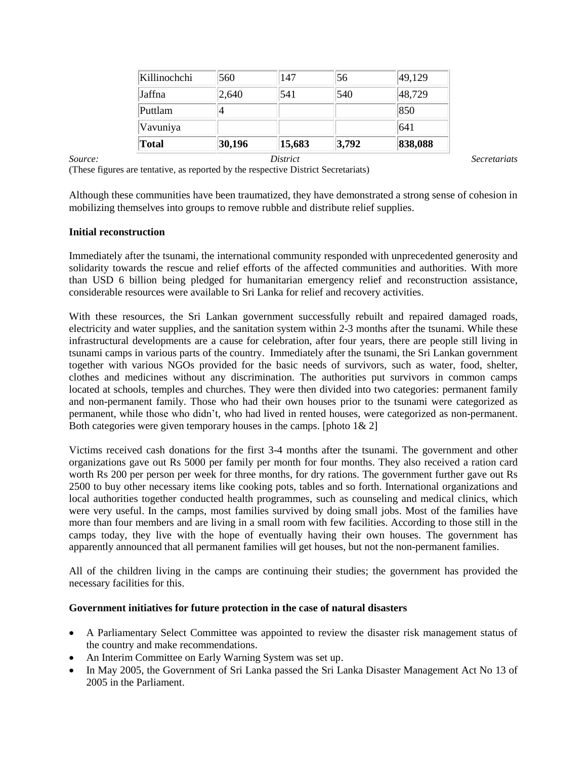| Killinochchi | 560    | 147    | 56    | 49,129  |
|--------------|--------|--------|-------|---------|
| Jaffna       | 2,640  | 541    | 540   | 48,729  |
| Puttlam      |        |        |       | 850     |
| Vavuniya     |        |        |       | 641     |
| Total        | 30,196 | 15,683 | 3,792 | 838,088 |

*Source: District Secretariats*

(These figures are tentative, as reported by the respective District Secretariats)

Although these communities have been traumatized, they have demonstrated a strong sense of cohesion in mobilizing themselves into groups to remove rubble and distribute relief supplies.

## **Initial reconstruction**

Immediately after the tsunami, the international community responded with unprecedented generosity and solidarity towards the rescue and relief efforts of the affected communities and authorities. With more than USD 6 billion being pledged for humanitarian emergency relief and reconstruction assistance, considerable resources were available to Sri Lanka for relief and recovery activities.

With these resources, the Sri Lankan government successfully rebuilt and repaired damaged roads, electricity and water supplies, and the sanitation system within 2-3 months after the tsunami. While these infrastructural developments are a cause for celebration, after four years, there are people still living in tsunami camps in various parts of the country. Immediately after the tsunami, the Sri Lankan government together with various NGOs provided for the basic needs of survivors, such as water, food, shelter, clothes and medicines without any discrimination. The authorities put survivors in common camps located at schools, temples and churches. They were then divided into two categories: permanent family and non-permanent family. Those who had their own houses prior to the tsunami were categorized as permanent, while those who didn't, who had lived in rented houses, were categorized as non-permanent. Both categories were given temporary houses in the camps. [photo  $1\& 2$ ]

Victims received cash donations for the first 3-4 months after the tsunami. The government and other organizations gave out Rs 5000 per family per month for four months. They also received a ration card worth Rs 200 per person per week for three months, for dry rations. The government further gave out Rs 2500 to buy other necessary items like cooking pots, tables and so forth. International organizations and local authorities together conducted health programmes, such as counseling and medical clinics, which were very useful. In the camps, most families survived by doing small jobs. Most of the families have more than four members and are living in a small room with few facilities. According to those still in the camps today, they live with the hope of eventually having their own houses. The government has apparently announced that all permanent families will get houses, but not the non-permanent families.

All of the children living in the camps are continuing their studies; the government has provided the necessary facilities for this.

#### **Government initiatives for future protection in the case of natural disasters**

- A Parliamentary Select Committee was appointed to review the disaster risk management status of the country and make recommendations.
- An Interim Committee on Early Warning System was set up.
- In May 2005, the Government of Sri Lanka passed the Sri Lanka Disaster Management Act No 13 of 2005 in the Parliament.